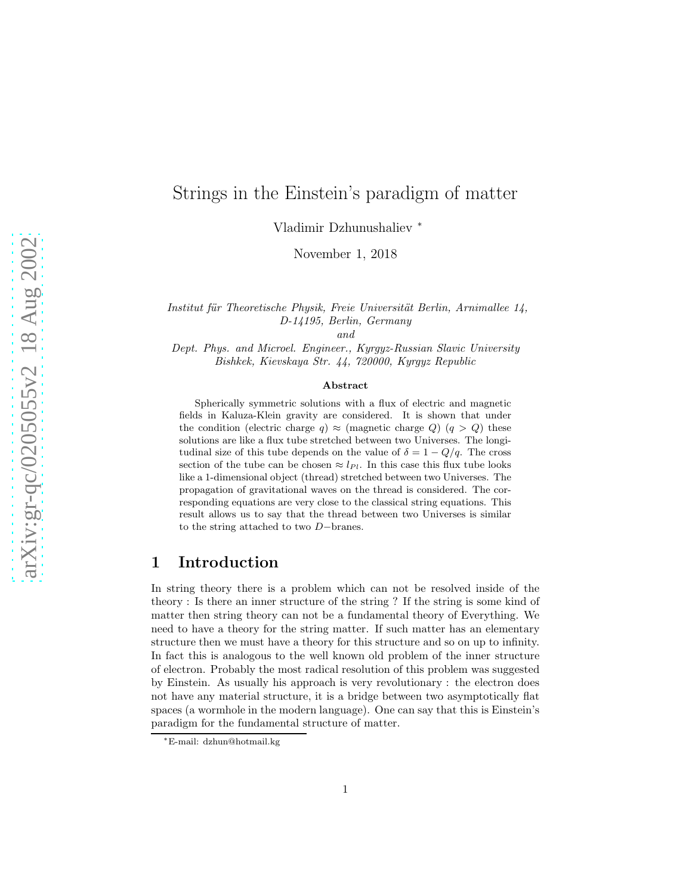# Strings in the Einstein's paradigm of matter

Vladimir Dzhunushaliev <sup>∗</sup>

November 1, 2018

Institut für Theoretische Physik, Freie Universität Berlin, Arnimallee 14, D-14195, Berlin, Germany

and

Dept. Phys. and Microel. Engineer., Kyrgyz-Russian Slavic University Bishkek, Kievskaya Str. 44, 720000, Kyrgyz Republic

#### Abstract

Spherically symmetric solutions with a flux of electric and magnetic fields in Kaluza-Klein gravity are considered. It is shown that under the condition (electric charge q)  $\approx$  (magnetic charge Q)  $(q > Q)$  these solutions are like a flux tube stretched between two Universes. The longitudinal size of this tube depends on the value of  $\delta = 1 - Q/q$ . The cross section of the tube can be chosen  $\approx l_{Pl}$ . In this case this flux tube looks like a 1-dimensional object (thread) stretched between two Universes. The propagation of gravitational waves on the thread is considered. The corresponding equations are very close to the classical string equations. This result allows us to say that the thread between two Universes is similar to the string attached to two D−branes.

#### 1 Introduction

In string theory there is a problem which can not be resolved inside of the theory : Is there an inner structure of the string ? If the string is some kind of matter then string theory can not be a fundamental theory of Everything. We need to have a theory for the string matter. If such matter has an elementary structure then we must have a theory for this structure and so on up to infinity. In fact this is analogous to the well known old problem of the inner structure of electron. Probably the most radical resolution of this problem was suggested by Einstein. As usually his approach is very revolutionary : the electron does not have any material structure, it is a bridge between two asymptotically flat spaces (a wormhole in the modern language). One can say that this is Einstein's paradigm for the fundamental structure of matter.

<sup>∗</sup>E-mail: dzhun@hotmail.kg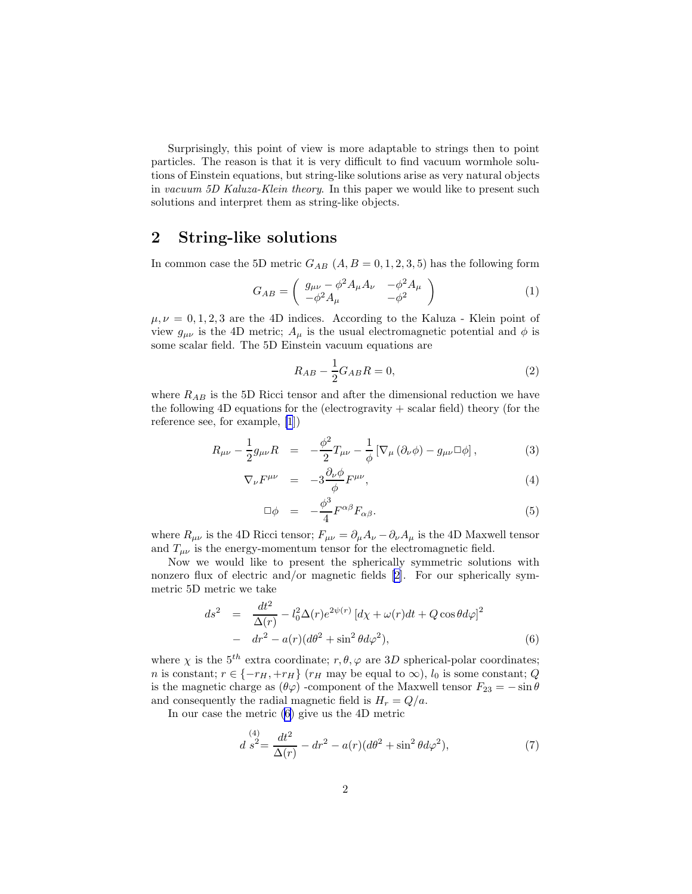<span id="page-1-0"></span>Surprisingly, this point of view is more adaptable to strings then to point particles. The reason is that it is very difficult to find vacuum wormhole solutions of Einstein equations, but string-like solutions arise as very natural objects in vacuum 5D Kaluza-Klein theory. In this paper we would like to present such solutions and interpret them as string-like objects.

## 2 String-like solutions

In common case the 5D metric  $G_{AB}$   $(A, B = 0, 1, 2, 3, 5)$  has the following form

$$
G_{AB} = \begin{pmatrix} g_{\mu\nu} - \phi^2 A_{\mu} A_{\nu} & -\phi^2 A_{\mu} \\ -\phi^2 A_{\mu} & -\phi^2 \end{pmatrix}
$$
 (1)

 $\mu, \nu = 0, 1, 2, 3$  are the 4D indices. According to the Kaluza - Klein point of view  $g_{\mu\nu}$  is the 4D metric;  $A_{\mu}$  is the usual electromagnetic potential and  $\phi$  is some scalar field. The 5D Einstein vacuum equations are

$$
R_{AB} - \frac{1}{2}G_{AB}R = 0,\t\t(2)
$$

where  $R_{AB}$  is the 5D Ricci tensor and after the dimensional reduction we have the following 4D equations for the (electrogravity + scalar field) theory (for the reference see, for example, [\[1](#page-9-0)])

$$
R_{\mu\nu} - \frac{1}{2}g_{\mu\nu}R = -\frac{\phi^2}{2}T_{\mu\nu} - \frac{1}{\phi}\left[\nabla_{\mu}\left(\partial_{\nu}\phi\right) - g_{\mu\nu}\Box\phi\right],\tag{3}
$$

$$
\nabla_{\nu} F^{\mu\nu} = -3 \frac{\partial_{\nu} \phi}{\phi} F^{\mu\nu}, \qquad (4)
$$

$$
\Box \phi = -\frac{\phi^3}{4} F^{\alpha \beta} F_{\alpha \beta}.
$$
\n(5)

where  $R_{\mu\nu}$  is the 4D Ricci tensor;  $F_{\mu\nu} = \partial_{\mu}A_{\nu} - \partial_{\nu}A_{\mu}$  is the 4D Maxwell tensor and  $T_{\mu\nu}$  is the energy-momentum tensor for the electromagnetic field.

Now we would like to present the spherically symmetric solutions with nonzero flux of electric and/or magnetic fields [\[2\]](#page-9-0). For our spherically symmetric 5D metric we take

$$
ds^{2} = \frac{dt^{2}}{\Delta(r)} - l_{0}^{2} \Delta(r) e^{2\psi(r)} \left[ d\chi + \omega(r)dt + Q \cos \theta d\varphi \right]^{2}
$$

$$
- dr^{2} - a(r)(d\theta^{2} + \sin^{2} \theta d\varphi^{2}), \qquad (6)
$$

where  $\chi$  is the 5<sup>th</sup> extra coordinate;  $r, \theta, \varphi$  are 3D spherical-polar coordinates; *n* is constant;  $r \in \{-r_H, +r_H\}$  ( $r_H$  may be equal to  $\infty$ ),  $l_0$  is some constant; Q is the magnetic charge as  $(\theta \varphi)$  -component of the Maxwell tensor  $F_{23} = -\sin \theta$ and consequently the radial magnetic field is  $H_r = Q/a$ .

In our case the metric (6) give us the 4D metric

$$
d\stackrel{(4)}{s^2} = \frac{dt^2}{\Delta(r)} - dr^2 - a(r)(d\theta^2 + \sin^2\theta d\varphi^2),\tag{7}
$$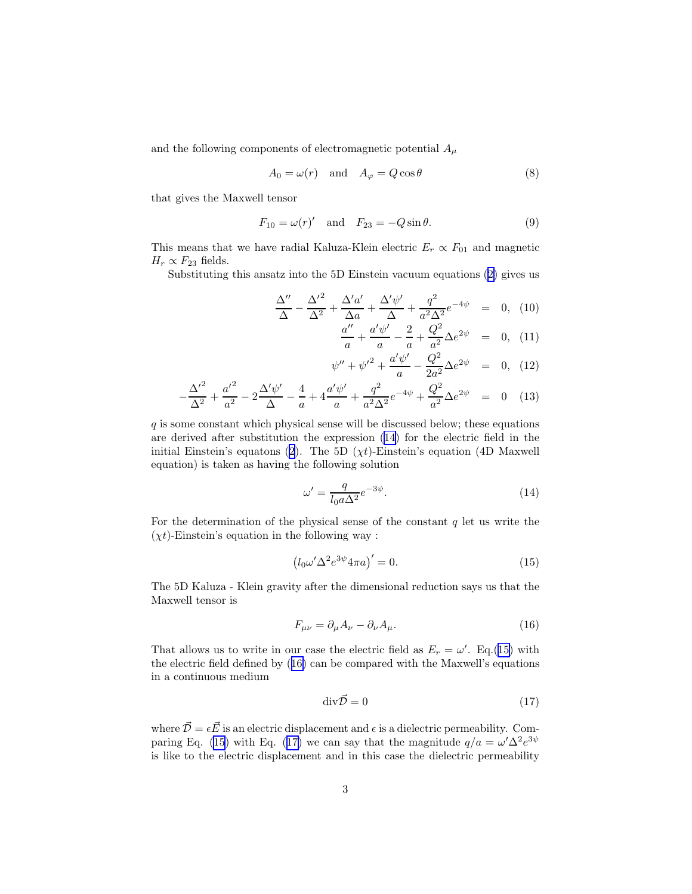<span id="page-2-0"></span>and the following components of electromagnetic potential  $A_\mu$ 

$$
A_0 = \omega(r) \quad \text{and} \quad A_\varphi = Q\cos\theta \tag{8}
$$

that gives the Maxwell tensor

$$
F_{10} = \omega(r)'
$$
 and  $F_{23} = -Q \sin \theta$ . (9)

This means that we have radial Kaluza-Klein electric  $E_r \propto F_{01}$  and magnetic  $H_r \propto F_{23}$  fields.

Substituting this ansatz into the 5D Einstein vacuum equations([2\)](#page-1-0) gives us

$$
\frac{\Delta''}{\Delta} - \frac{{\Delta'}^2}{\Delta^2} + \frac{{\Delta'} a'}{\Delta a} + \frac{{\Delta'} \psi'}{\Delta} + \frac{q^2}{a^2 \Delta^2} e^{-4\psi} = 0, \tag{10}
$$

$$
\frac{a''}{a} + \frac{a'\psi'}{a} - \frac{2}{a} + \frac{Q^2}{a^2} \Delta e^{2\psi} = 0, (11)
$$

$$
\psi'' + {\psi'}^2 + \frac{a'\psi'}{a} - \frac{Q^2}{2a^2} \Delta e^{2\psi} = 0, \quad (12)
$$

$$
-\frac{\Delta'^2}{\Delta^2} + \frac{a'^2}{a^2} - 2\frac{\Delta'\psi'}{\Delta} - \frac{4}{a} + 4\frac{a'\psi'}{a} + \frac{q^2}{a^2\Delta^2}e^{-4\psi} + \frac{Q^2}{a^2}\Delta e^{2\psi} = 0 \quad (13)
$$

 $q$  is some constant which physical sense will be discussed below; these equations are derived after substitution the expression (14) for the electric field in the initialEinstein's equatons ([2\)](#page-1-0). The 5D ( $\chi t$ )-Einstein's equation (4D Maxwell equation) is taken as having the following solution

$$
\omega' = \frac{q}{l_0 a \Delta^2} e^{-3\psi}.
$$
\n(14)

For the determination of the physical sense of the constant  $q$  let us write the  $(\chi t)$ -Einstein's equation in the following way :

$$
\left(l_0\omega'\Delta^2 e^{3\psi} 4\pi a\right)' = 0.\tag{15}
$$

The 5D Kaluza - Klein gravity after the dimensional reduction says us that the Maxwell tensor is

$$
F_{\mu\nu} = \partial_{\mu}A_{\nu} - \partial_{\nu}A_{\mu}.
$$
\n(16)

That allows us to write in our case the electric field as  $E_r = \omega'$ . Eq.(15) with the electric field defined by (16) can be compared with the Maxwell's equations in a continuous medium

$$
\operatorname{div}\vec{\mathcal{D}} = 0\tag{17}
$$

where  $\vec{\mathcal{D}} = \epsilon \vec{E}$  is an electric displacement and  $\epsilon$  is a dielectric permeability. Comparing Eq. (15) with Eq. (17) we can say that the magnitude  $q/a = \omega' \Delta^2 e^{3\psi}$ is like to the electric displacement and in this case the dielectric permeability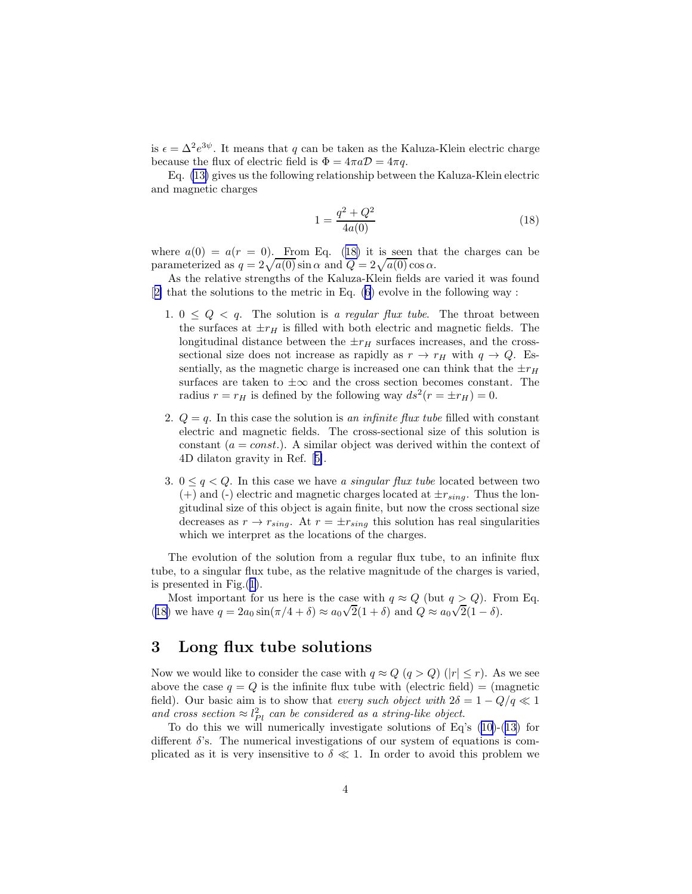is  $\epsilon = \Delta^2 e^{3\psi}$ . It means that q can be taken as the Kaluza-Klein electric charge because the flux of electric field is  $\Phi = 4\pi a \mathcal{D} = 4\pi q$ .

Eq. [\(13\)](#page-2-0) gives us the following relationship between the Kaluza-Klein electric and magnetic charges

$$
1 = \frac{q^2 + Q^2}{4a(0)}\tag{18}
$$

where  $a(0) = a(r = 0)$ . From Eq. (18) it is seen that the charges can be parameterized as  $q = 2\sqrt{a(0)} \sin \alpha$  and  $Q = 2\sqrt{a(0)} \cos \alpha$ .

As the relative strengths of the Kaluza-Klein fields are varied it was found [[2\]](#page-9-0) that the solutions to the metric in Eq. [\(6](#page-1-0)) evolve in the following way :

- 1.  $0 \leq Q \leq q$ . The solution is a regular flux tube. The throat between the surfaces at  $\pm r_H$  is filled with both electric and magnetic fields. The longitudinal distance between the  $\pm r_H$  surfaces increases, and the crosssectional size does not increase as rapidly as  $r \to r_H$  with  $q \to Q$ . Essentially, as the magnetic charge is increased one can think that the  $\pm r_H$ surfaces are taken to  $\pm\infty$  and the cross section becomes constant. The radius  $r = r_H$  is defined by the following way  $ds^2(r = \pm r_H) = 0$ .
- 2.  $Q = q$ . In this case the solution is an infinite flux tube filled with constant electric and magnetic fields. The cross-sectional size of this solution is constant  $(a = const.)$ . A similar object was derived within the context of 4D dilaton gravity in Ref.[[5\]](#page-9-0).
- 3.  $0 \leq q \leq Q$ . In this case we have a singular flux tube located between two (+) and (-) electric and magnetic charges located at  $\pm r_{sing}$ . Thus the longitudinal size of this object is again finite, but now the cross sectional size decreases as  $r \rightarrow r_{sing}$ . At  $r = \pm r_{sing}$  this solution has real singularities which we interpret as the locations of the charges.

The evolution of the solution from a regular flux tube, to an infinite flux tube, to a singular flux tube, as the relative magnitude of the charges is varied, is presented in Fig.([1\)](#page-4-0).

Most important for us here is the case with  $q \approx Q$  (but  $q > Q$ ). From Eq. (18) we have  $q = 2a_0 \sin(\pi/4 + \delta) \approx a_0 \sqrt{2}(1+\delta)$  and  $Q \approx a_0 \sqrt{2}(1-\delta)$ .

### 3 Long flux tube solutions

Now we would like to consider the case with  $q \approx Q$   $(q > Q)$   $(|r| \le r)$ . As we see above the case  $q = Q$  is the infinite flux tube with (electric field) = (magnetic field). Our basic aim is to show that every such object with  $2\delta = 1 - Q/q \ll 1$ and cross section  $\approx l_{Pl}^2$  can be considered as a string-like object.

To do this we will numerically investigate solutions of Eq's [\(10](#page-2-0))-[\(13](#page-2-0)) for different  $\delta$ 's. The numerical investigations of our system of equations is complicated as it is very insensitive to  $\delta \ll 1$ . In order to avoid this problem we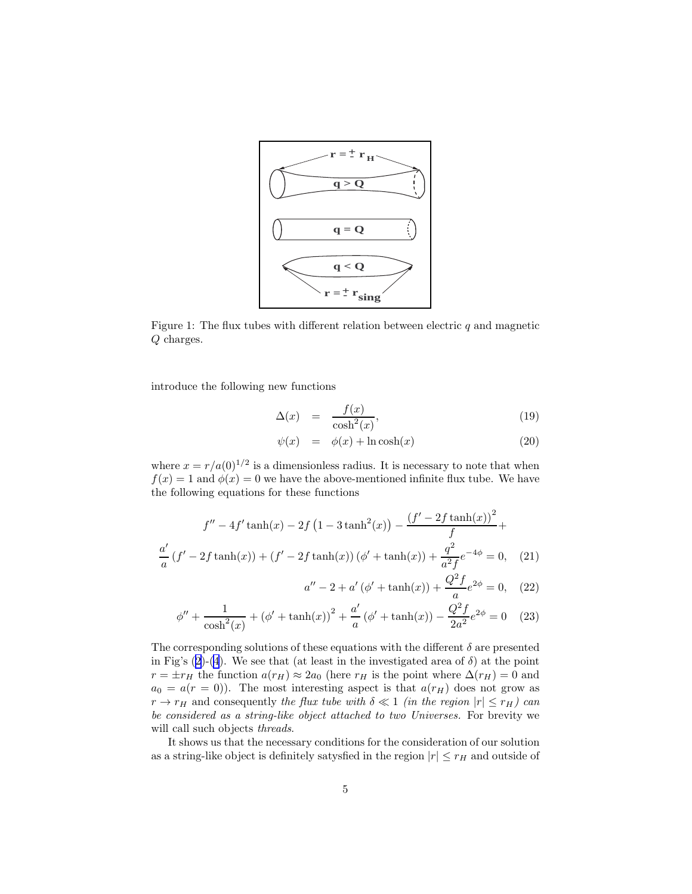<span id="page-4-0"></span>

Figure 1: The flux tubes with different relation between electric  $q$  and magnetic Q charges.

introduce the following new functions

$$
\Delta(x) = \frac{f(x)}{\cosh^2(x)},\tag{19}
$$

$$
\psi(x) = \phi(x) + \ln \cosh(x) \tag{20}
$$

where  $x = r/a(0)^{1/2}$  is a dimensionless radius. It is necessary to note that when  $f(x) = 1$  and  $\phi(x) = 0$  we have the above-mentioned infinite flux tube. We have the following equations for these functions

$$
f'' - 4f' \tanh(x) - 2f (1 - 3 \tanh^2(x)) - \frac{(f' - 2f \tanh(x))^2}{f} + \frac{a'}{a} (f' - 2f \tanh(x)) + (f' - 2f \tanh(x)) (\phi' + \tanh(x)) + \frac{q^2}{a^2 f} e^{-4\phi} = 0,
$$
 (21)

$$
a'' - 2 + a'(\phi' + \tanh(x)) + \frac{Q^2 f}{a} e^{2\phi} = 0, \quad (22)
$$

$$
\phi'' + \frac{1}{\cosh^2(x)} + (\phi' + \tanh(x))^2 + \frac{a'}{a}(\phi' + \tanh(x)) - \frac{Q^2 f}{2a^2} e^{2\phi} = 0 \quad (23)
$$

The corresponding solutions of these equations with the different  $\delta$  are presented in Fig's [\(2](#page-5-0))-[\(4](#page-5-0)). We see that (at least in the investigated area of  $\delta$ ) at the point  $r = \pm r_H$  the function  $a(r_H) \approx 2a_0$  (here  $r_H$  is the point where  $\Delta(r_H) = 0$  and  $a_0 = a(r = 0)$ . The most interesting aspect is that  $a(r_H)$  does not grow as  $r \to r_H$  and consequently the flux tube with  $\delta \ll 1$  (in the region  $|r| \leq r_H$ ) can be considered as a string-like object attached to two Universes. For brevity we will call such objects *threads*.

It shows us that the necessary conditions for the consideration of our solution as a string-like object is definitely satysfied in the region  $|r| \leq r_H$  and outside of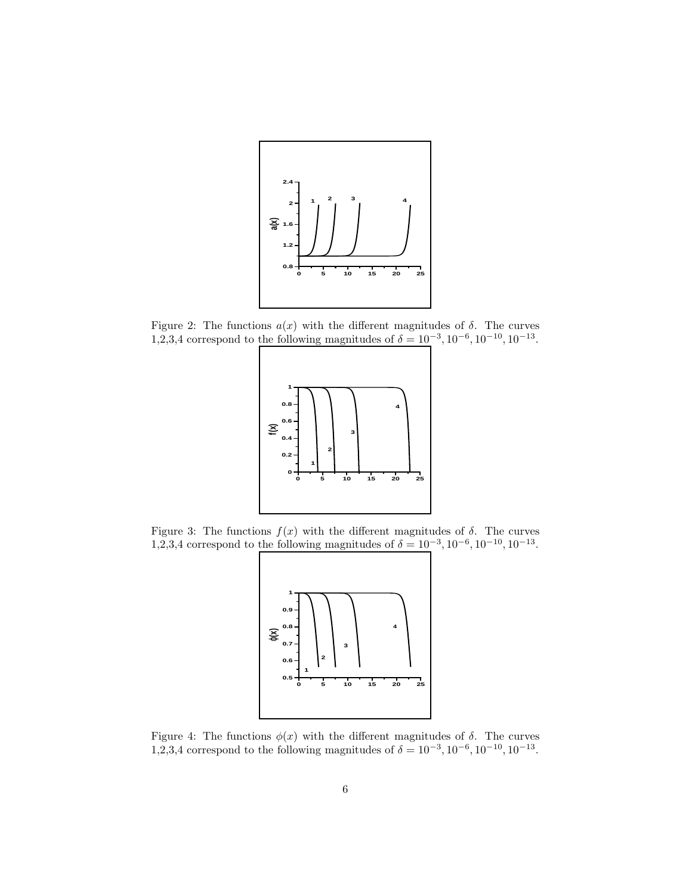<span id="page-5-0"></span>

Figure 2: The functions  $a(x)$  with the different magnitudes of  $\delta$ . The curves 1,2,3,4 correspond to the following magnitudes of  $\delta = 10^{-3}$ ,  $10^{-6}$ ,  $10^{-10}$ ,  $10^{-13}$ .



Figure 3: The functions  $f(x)$  with the different magnitudes of  $\delta$ . The curves 1,2,3,4 correspond to the following magnitudes of  $\delta = 10^{-3}$ ,  $10^{-6}$ ,  $10^{-10}$ ,  $10^{-13}$ .



Figure 4: The functions  $\phi(x)$  with the different magnitudes of  $\delta$ . The curves 1,2,3,4 correspond to the following magnitudes of  $\delta = 10^{-3}$ ,  $10^{-6}$ ,  $10^{-10}$ ,  $10^{-13}$ .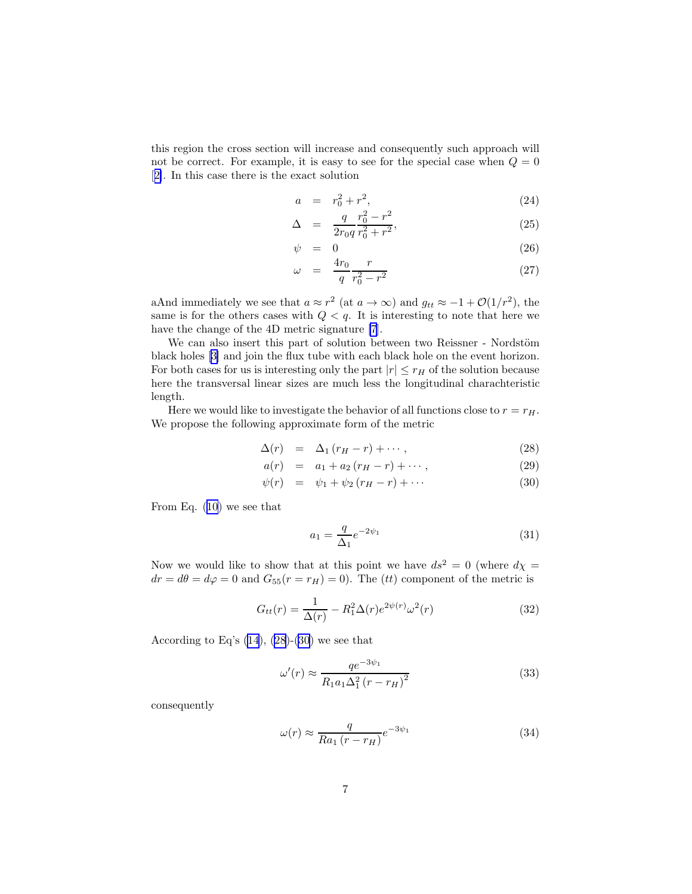<span id="page-6-0"></span>this region the cross section will increase and consequently such approach will not be correct. For example, it is easy to see for the special case when  $Q = 0$ [[2\]](#page-9-0). In this case there is the exact solution

$$
a = r_0^2 + r^2,
$$
\t(24)

$$
\Delta = \frac{q}{2r_0 q} \frac{r_0^2 - r^2}{r_0^2 + r^2},\tag{25}
$$

$$
\psi = 0 \tag{26}
$$

$$
\omega = \frac{4r_0}{q} \frac{r}{r_0^2 - r^2} \tag{27}
$$

aAnd immediately we see that  $a \approx r^2$  (at  $a \to \infty$ ) and  $g_{tt} \approx -1 + \mathcal{O}(1/r^2)$ , the same is for the others cases with  $Q < q$ . It is interesting to note that here we have the change of the 4D metric signature [\[7](#page-9-0)].

We can also insert this part of solution between two Reissner - Nordstöm black holes[[3\]](#page-9-0) and join the flux tube with each black hole on the event horizon. For both cases for us is interesting only the part  $|r| \leq r_H$  of the solution because here the transversal linear sizes are much less the longitudinal charachteristic length.

Here we would like to investigate the behavior of all functions close to  $r = r_H$ . We propose the following approximate form of the metric

$$
\Delta(r) = \Delta_1 (r_H - r) + \cdots, \qquad (28)
$$

$$
a(r) = a_1 + a_2 (r_H - r) + \cdots, \qquad (29)
$$

$$
\psi(r) = \psi_1 + \psi_2 (r_H - r) + \cdots \tag{30}
$$

From Eq. [\(10](#page-2-0)) we see that

$$
a_1 = \frac{q}{\Delta_1} e^{-2\psi_1} \tag{31}
$$

Now we would like to show that at this point we have  $ds^2 = 0$  (where  $d\chi =$  $dr = d\theta = d\varphi = 0$  and  $G_{55}(r = r_H) = 0$ . The (*tt*) component of the metric is

$$
G_{tt}(r) = \frac{1}{\Delta(r)} - R_1^2 \Delta(r) e^{2\psi(r)} \omega^2(r)
$$
 (32)

According to Eq's  $(14)$ ,  $(28)-(30)$  we see that

$$
\omega'(r) \approx \frac{qe^{-3\psi_1}}{R_1 a_1 \Delta_1^2 (r - r_H)^2}
$$
\n(33)

consequently

$$
\omega(r) \approx \frac{q}{Ra_1(r - r_H)} e^{-3\psi_1} \tag{34}
$$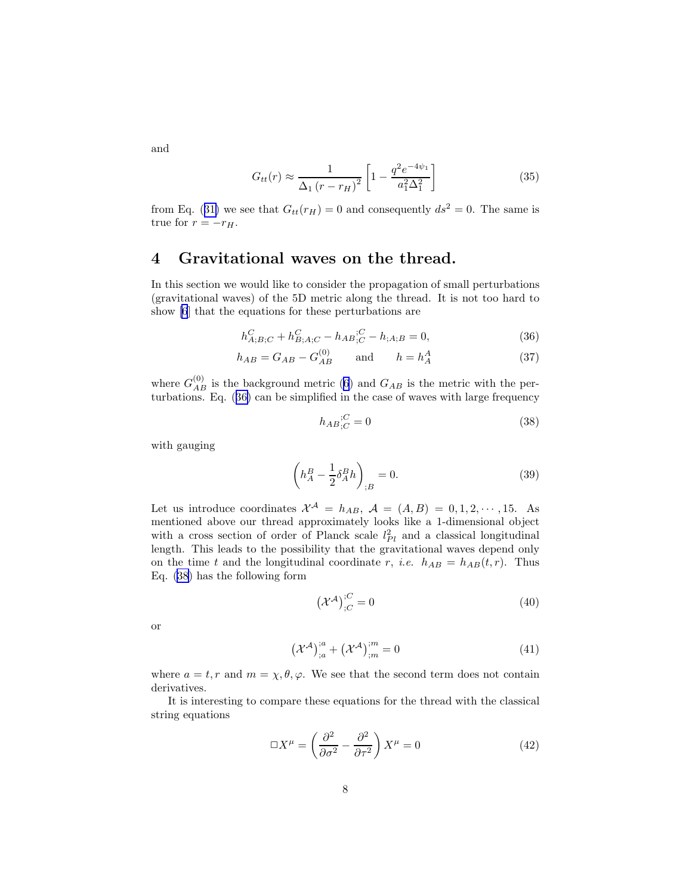$G_{tt}(r) \approx \frac{1}{\Delta r(r)}$  $\Delta_1 (r - r_H)^2$  $\left[1 - \frac{q^2 e^{-4\psi_1}}{a^2 \Lambda^2}\right]$  $a_1^2\Delta_1^2$ 1

fromEq. ([31\)](#page-6-0) we see that  $G_{tt}(r_H) = 0$  and consequently  $ds^2 = 0$ . The same is true for  $r = -r_H$ .

### 4 Gravitational waves on the thread.

In this section we would like to consider the propagation of small perturbations (gravitational waves) of the 5D metric along the thread. It is not too hard to show [\[6](#page-9-0)] that the equations for these perturbations are

$$
h_{A;B;C}^{C} + h_{B;A;C}^{C} - h_{AB;C}^{C} - h_{;A;B} = 0,
$$
\n(36)

$$
h_{AB} = G_{AB} - G_{AB}^{(0)} \qquad \text{and} \qquad h = h_A^A \tag{37}
$$

where  $G_{AB}^{(0)}$  is the background metric [\(6](#page-1-0)) and  $G_{AB}$  is the metric with the perturbations. Eq. (36) can be simplified in the case of waves with large frequency

$$
h_{AB}{}_{;C}^{;C} = 0\tag{38}
$$

(35)

with gauging

$$
\left(h_A^B - \frac{1}{2}\delta_A^B h\right)_{;B} = 0.\tag{39}
$$

Let us introduce coordinates  $\mathcal{X}^{\mathcal{A}} = h_{AB}, \mathcal{A} = (A, B) = 0, 1, 2, \cdots, 15$ . As mentioned above our thread approximately looks like a 1-dimensional object with a cross section of order of Planck scale  $l_{Pl}^2$  and a classical longitudinal length. This leads to the possibility that the gravitational waves depend only on the time t and the longitudinal coordinate r, *i.e.*  $h_{AB} = h_{AB}(t, r)$ . Thus Eq. (38) has the following form

$$
\left(\mathcal{X}^{\mathcal{A}}\right)^{;C}_{;C} = 0\tag{40}
$$

or

$$
\left(\mathcal{X}^{\mathcal{A}}\right)^{;a}_{;a} + \left(\mathcal{X}^{\mathcal{A}}\right)^{;m}_{;m} = 0\tag{41}
$$

where  $a = t, r$  and  $m = \chi, \theta, \varphi$ . We see that the second term does not contain derivatives.

It is interesting to compare these equations for the thread with the classical string equations

$$
\Box X^{\mu} = \left(\frac{\partial^2}{\partial \sigma^2} - \frac{\partial^2}{\partial \tau^2}\right) X^{\mu} = 0
$$
\n(42)

and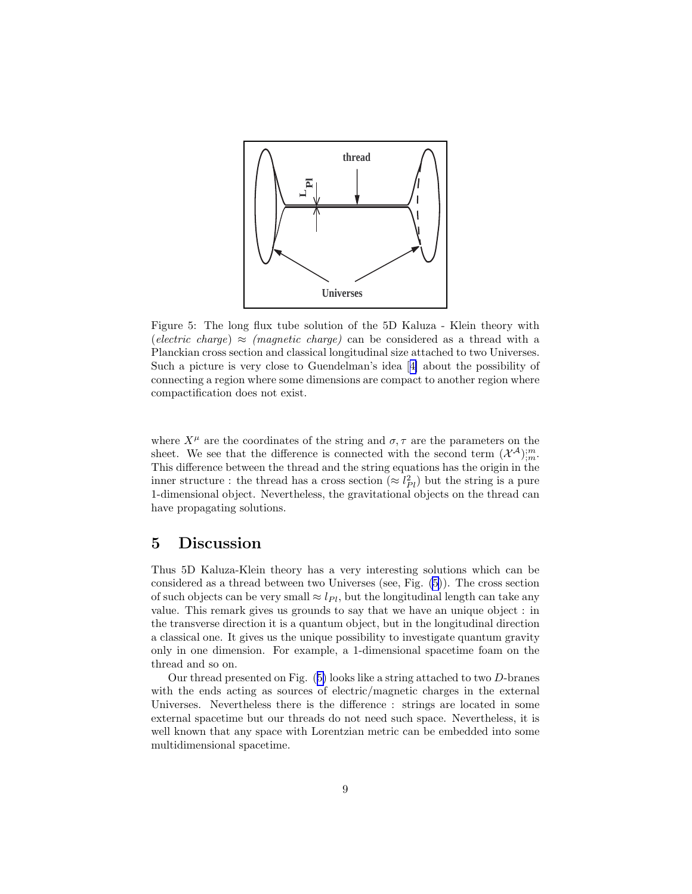

Figure 5: The long flux tube solution of the 5D Kaluza - Klein theory with (electric charge)  $\approx$  (magnetic charge) can be considered as a thread with a Planckian cross section and classical longitudinal size attached to two Universes. Such a picture is very close to Guendelman's idea[[4\]](#page-9-0) about the possibility of connecting a region where some dimensions are compact to another region where compactification does not exist.

where  $X^{\mu}$  are the coordinates of the string and  $\sigma, \tau$  are the parameters on the sheet. We see that the difference is connected with the second term  $(\mathcal{X}^{\mathcal{A}})_{;m}^{;m}$ . This difference between the thread and the string equations has the origin in the inner structure : the thread has a cross section  $(\approx l_{Pl}^2)$  but the string is a pure 1-dimensional object. Nevertheless, the gravitational objects on the thread can have propagating solutions.

#### 5 Discussion

Thus 5D Kaluza-Klein theory has a very interesting solutions which can be considered as a thread between two Universes (see, Fig. (5)). The cross section of such objects can be very small  $\approx l_{Pl}$ , but the longitudinal length can take any value. This remark gives us grounds to say that we have an unique object : in the transverse direction it is a quantum object, but in the longitudinal direction a classical one. It gives us the unique possibility to investigate quantum gravity only in one dimension. For example, a 1-dimensional spacetime foam on the thread and so on.

Our thread presented on Fig. (5) looks like a string attached to two D-branes with the ends acting as sources of electric/magnetic charges in the external Universes. Nevertheless there is the difference : strings are located in some external spacetime but our threads do not need such space. Nevertheless, it is well known that any space with Lorentzian metric can be embedded into some multidimensional spacetime.